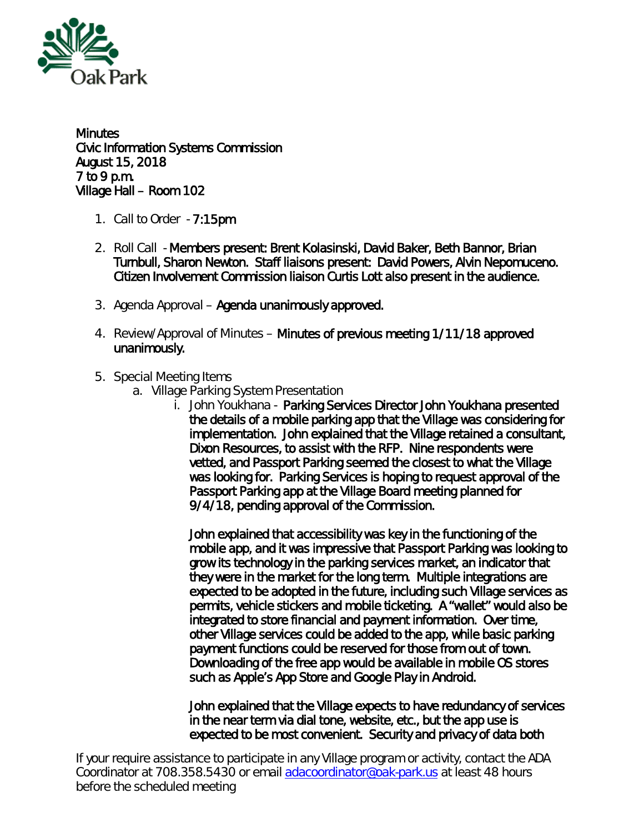

**Minutes** Civic Information Systems Commission August 15, 2018 7 to 9 p.m. Village Hall – Room 102

- 1. Call to Order 7:15pm
- 2. Roll Call Members present: Brent Kolasinski, David Baker, Beth Bannor, Brian Turnbull, Sharon Newton. Staff liaisons present: David Powers, Alvin Nepomuceno. Citizen Involvement Commission liaison Curtis Lott also present in the audience.
- 3. Agenda Approval Agenda unanimously approved.
- 4. Review/Approval of Minutes Minutes of previous meeting 1/11/18 approved unanimously.
- 5. Special Meeting Items
	- a. Village Parking System Presentation
		- i. John Youkhana Parking Services Director John Youkhana presented the details of a mobile parking app that the Village was considering for implementation. John explained that the Village retained a consultant, Dixon Resources, to assist with the RFP. Nine respondents were vetted, and Passport Parking seemed the closest to what the Village was looking for. Parking Services is hoping to request approval of the Passport Parking app at the Village Board meeting planned for 9/4/18, pending approval of the Commission.

John explained that accessibility was key in the functioning of the mobile app, and it was impressive that Passport Parking was looking to grow its technology in the parking services market, an indicator that they were in the market for the long term. Multiple integrations are expected to be adopted in the future, including such Village services as permits, vehicle stickers and mobile ticketing. A "wallet" would also be integrated to store financial and payment information. Over time, other Village services could be added to the app, while basic parking payment functions could be reserved for those from out of town. Downloading of the free app would be available in mobile OS stores such as Apple's App Store and Google Play in Android.

John explained that the Village expects to have redundancy of services in the near term via dial tone, website, etc., but the app use is expected to be most convenient. Security and privacy of data both